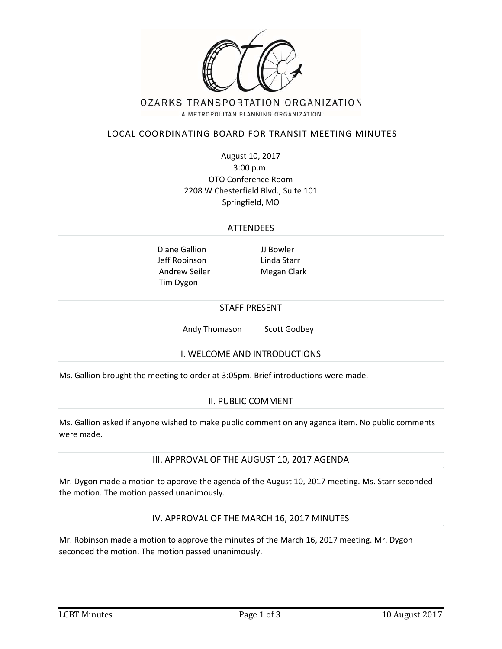

# LOCAL COORDINATING BOARD FOR TRANSIT MEETING MINUTES

August 10, 2017 3:00 p.m. OTO Conference Room 2208 W Chesterfield Blvd., Suite 101 Springfield, MO

#### ATTENDEES

Diane Gallion JJ Bowler Jeff Robinson Linda Starr Andrew Seiler Megan Clark Tim Dygon

#### STAFF PRESENT

Andy Thomason Scott Godbey

### I. WELCOME AND INTRODUCTIONS

Ms. Gallion brought the meeting to order at 3:05pm. Brief introductions were made.

#### II. PUBLIC COMMENT

Ms. Gallion asked if anyone wished to make public comment on any agenda item. No public comments were made.

### III. APPROVAL OF THE AUGUST 10, 2017 AGENDA

Mr. Dygon made a motion to approve the agenda of the August 10, 2017 meeting. Ms. Starr seconded the motion. The motion passed unanimously.

### IV. APPROVAL OF THE MARCH 16, 2017 MINUTES

Mr. Robinson made a motion to approve the minutes of the March 16, 2017 meeting. Mr. Dygon seconded the motion. The motion passed unanimously.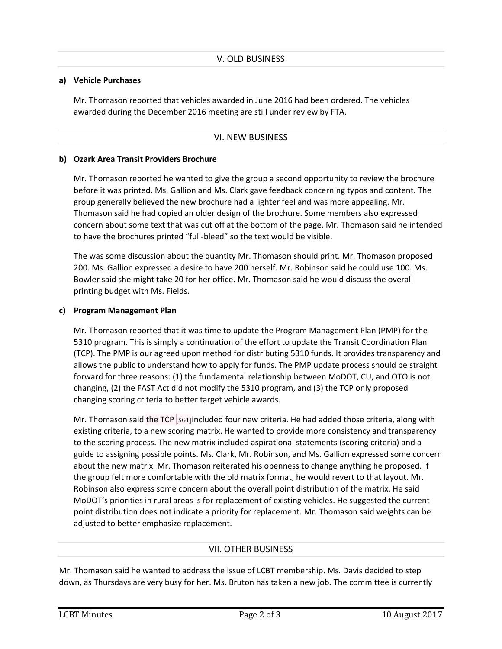### **a) Vehicle Purchases**

Mr. Thomason reported that vehicles awarded in June 2016 had been ordered. The vehicles awarded during the December 2016 meeting are still under review by FTA.

# VI. NEW BUSINESS

### **b) Ozark Area Transit Providers Brochure**

Mr. Thomason reported he wanted to give the group a second opportunity to review the brochure before it was printed. Ms. Gallion and Ms. Clark gave feedback concerning typos and content. The group generally believed the new brochure had a lighter feel and was more appealing. Mr. Thomason said he had copied an older design of the brochure. Some members also expressed concern about some text that was cut off at the bottom of the page. Mr. Thomason said he intended to have the brochures printed "full‐bleed" so the text would be visible.

The was some discussion about the quantity Mr. Thomason should print. Mr. Thomason proposed 200. Ms. Gallion expressed a desire to have 200 herself. Mr. Robinson said he could use 100. Ms. Bowler said she might take 20 for her office. Mr. Thomason said he would discuss the overall printing budget with Ms. Fields.

### **c) Program Management Plan**

Mr. Thomason reported that it was time to update the Program Management Plan (PMP) for the 5310 program. This is simply a continuation of the effort to update the Transit Coordination Plan (TCP). The PMP is our agreed upon method for distributing 5310 funds. It provides transparency and allows the public to understand how to apply for funds. The PMP update process should be straight forward for three reasons: (1) the fundamental relationship between MoDOT, CU, and OTO is not changing, (2) the FAST Act did not modify the 5310 program, and (3) the TCP only proposed changing scoring criteria to better target vehicle awards.

Mr. Thomason said the TCP  $\frac{1}{10}$  scallincluded four new criteria. He had added those criteria, along with existing criteria, to a new scoring matrix. He wanted to provide more consistency and transparency to the scoring process. The new matrix included aspirational statements (scoring criteria) and a guide to assigning possible points. Ms. Clark, Mr. Robinson, and Ms. Gallion expressed some concern about the new matrix. Mr. Thomason reiterated his openness to change anything he proposed. If the group felt more comfortable with the old matrix format, he would revert to that layout. Mr. Robinson also express some concern about the overall point distribution of the matrix. He said MoDOT's priorities in rural areas is for replacement of existing vehicles. He suggested the current point distribution does not indicate a priority for replacement. Mr. Thomason said weights can be adjusted to better emphasize replacement.

# VII. OTHER BUSINESS

Mr. Thomason said he wanted to address the issue of LCBT membership. Ms. Davis decided to step down, as Thursdays are very busy for her. Ms. Bruton has taken a new job. The committee is currently